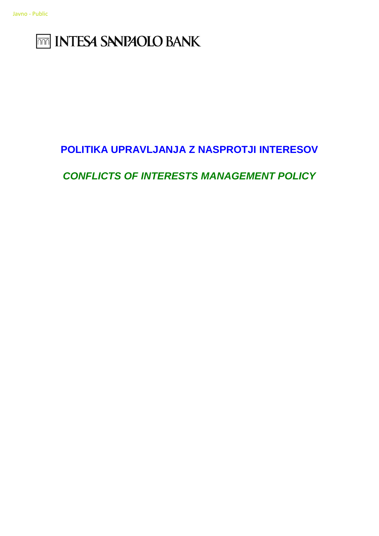# **THE INTESA SANPAOLO BANK**

## **POLITIKA UPRAVLJANJA Z NASPROTJI INTERESOV**

## *CONFLICTS OF INTERESTS MANAGEMENT POLICY*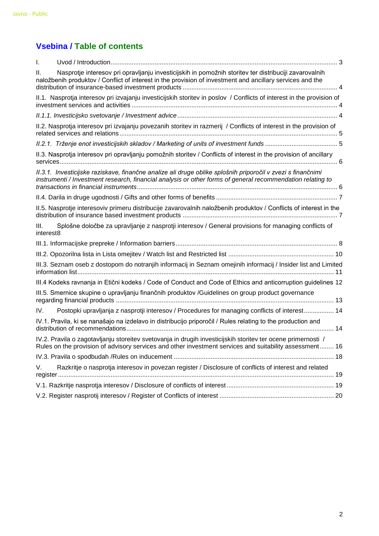## **Vsebina / Table of contents**

| I.        |                                                                                                                                                                                                                           |    |
|-----------|---------------------------------------------------------------------------------------------------------------------------------------------------------------------------------------------------------------------------|----|
| Ш.        | Nasprotje interesov pri opravljanju investicijskih in pomožnih storitev ter distribuciji zavarovalnih<br>naložbenih produktov / Conflict of interest in the provision of investment and ancillary services and the        |    |
|           | II.1. Nasprotja interesov pri izvajanju investicijskih storitev in poslov / Conflicts of interest in the provision of                                                                                                     |    |
|           |                                                                                                                                                                                                                           |    |
|           | II.2. Nasprotja interesov pri izvajanju povezanih storitev in razmerij / Conflicts of interest in the provision of                                                                                                        |    |
|           |                                                                                                                                                                                                                           |    |
|           | II.3. Nasprotja interesov pri opravljanju pomožnih storitev / Conflicts of interest in the provision of ancillary                                                                                                         |    |
|           | II.3.1. Investicijske raziskave, finančne analize ali druge oblike splošnih priporočil v zvezi s finančnimi<br>instrumenti / Investment research, financial analysis or other forms of general recommendation relating to |    |
|           |                                                                                                                                                                                                                           |    |
|           | II.5. Nasprotje interesoviv primeru distribucije zavarovalnih naložbenih produktov / Conflicts of interest in the                                                                                                         |    |
| III.      | Splošne določbe za upravljanje z nasprotji interesov / General provisions for managing conflicts of                                                                                                                       |    |
| interest8 |                                                                                                                                                                                                                           |    |
|           |                                                                                                                                                                                                                           |    |
|           |                                                                                                                                                                                                                           |    |
|           | III.3. Seznam oseb z dostopom do notranjih informacij in Seznam omejinih informacij / Insider list and Limited                                                                                                            | 11 |
|           | III.4 Kodeks ravnanja in Etični kodeks / Code of Conduct and Code of Ethics and anticorruption guidelines 12                                                                                                              |    |
|           | III.5. Smernice skupine o upravljanju finančnih produktov /Guidelines on group product governance                                                                                                                         |    |
| IV.       | Postopki upravljanja z nasprotji interesov / Procedures for managing conflicts of interest 14                                                                                                                             |    |
|           | IV.1. Pravila, ki se nanašajo na izdelavo in distribucijo priporočil / Rules relating to the production and                                                                                                               |    |
|           | IV.2. Pravila o zagotavljanju storeitev svetovanja in drugih investicijskih storitev ter ocene primernosti /<br>Rules on the provision of advisory services and other investment services and suitability assessment 16   |    |
|           |                                                                                                                                                                                                                           |    |
| V.        | Razkritje o nasprotja interesov in povezan register / Disclosure of conflicts of interest and related                                                                                                                     |    |
|           |                                                                                                                                                                                                                           |    |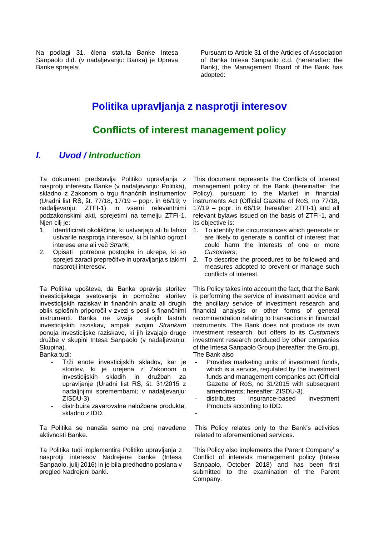Na podlagi 31. člena statuta Banke Intesa Sanpaolo d.d. (v nadaljevanju: Banka) je Uprava Banke sprejela:

Pursuant to Article 31 of the Articles of Association of Banka Intesa Sanpaolo d.d. (hereinafter: the Bank), the Management Board of the Bank has adopted:

## **Politika upravljanja z nasprotji interesov**

## **Conflicts of interest management policy**

## <span id="page-2-0"></span>*I. Uvod / Introduction*

Ta dokument predstavlja Politiko upravljanja z nasprotji interesov Banke (v nadaljevanju: Politika), skladno z Zakonom o trgu finančnih instrumentov (Uradni list RS, št. 77/18, 17/19 – popr. in 66/19; v nadaljevanju: ZTFI-1) in vsemi relevantnimi podzakonskimi akti, sprejetimi na temelju ZTFI-1. Njen cilj je:

- 1. Identificirati okoliščine, ki ustvarjajo ali bi lahko ustvarile nasprotja interesov, ki bi lahko ogrozil interese ene ali več *Strank*;
- 2. Opisati potrebne postopke in ukrepe, ki so sprejeti zaradi preprečitve in upravljanja s takimi nasprotji interesov.

Ta Politika upošteva, da Banka opravlja storitev investicijskega svetovanja in pomožno storitev investicijskih raziskav in finančnih analiz ali drugih oblik splošnih priporočil v zvezi s posli s finančnimi instrumenti. Banka ne izvaja svojih lastnih investicijskih raziskav, ampak svojim *Strankam* ponuja investicijske raziskave, ki jih izvajajo druge družbe v skupini Intesa Sanpaolo (v nadaljevanju: Skupina).

Banka tudi:

- Trži enote investicijskih skladov, kar je storitev, ki je urejena z Zakonom o investicijskih skladih in družbah za upravljanje (Uradni list RS, št. 31/2015 z nadaljnjimi spremembami; v nadaljevanju: ZISDU-3).
- distribuira zavarovalne naložbene produkte, skladno z IDD.

Ta Politika se nanaša samo na prej navedene aktivnosti Banke.

Ta Politika tudi implementira Politiko upravljanja z nasprotji interesov Nadrejene banke (Intesa Sanpaolo, julij 2016) in je bila predhodno poslana v pregled Nadrejeni banki.

This document represents the Conflicts of interest management policy of the Bank (hereinafter: the Policy), pursuant to the Market in financial instruments Act (Official Gazette of RoS, no 77/18, 17/19 – popr. in 66/19; hereafter: ZTFI-1) and all relevant bylaws issued on the basis of ZTFI-1, and its objective is:

- 1. To identify the circumstances which generate or are likely to generate a conflict of interest that could harm the interests of one or more *Customers*;
- 2. To describe the procedures to be followed and measures adopted to prevent or manage such conflicts of interest.

This Policy takes into account the fact, that the Bank is performing the service of investment advice and the ancillary service of investment research and financial analysis or other forms of general recommendation relating to transactions in financial instruments. The Bank does not produce its own investment research, but offers to its *Customers* investment research produced by other companies of the Intesa Sanpaolo Group (hereafter: the Group). The Bank also

- Provides marketing units of investment funds, which is a service, regulated by the Investment funds and management companies act (Official Gazette of RoS, no 31/2015 with subsequent amendments; hereafter: ZISDU-3).
- distributes Insurance-based investment Products according to IDD.
- -

This Policy relates only to the Bank's activities related to aforementioned services.

This Policy also implements the Parent Company' s Conflict of interests management policy (Intesa Sanpaolo, October 2018) and has been first submitted to the examination of the Parent Company.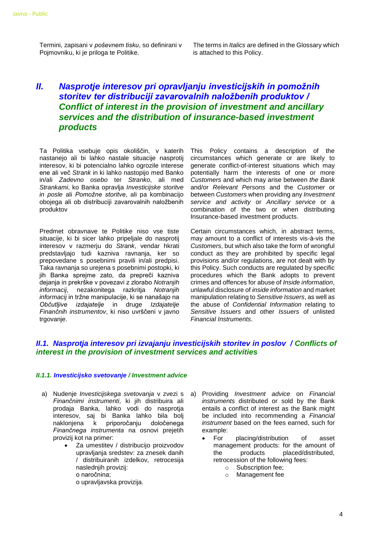Termini, zapisani v *poševnem tisku*, so definirani v Pojmovniku, ki je priloga te Politike.

The terms in *Italics* are defined in the Glossary which is attached to this Policy.

## <span id="page-3-0"></span>*II. Nasprotje interesov pri opravljanju investicijskih in pomožnih storitev ter distribuciji zavarovalnih naložbenih produktov / Conflict of interest in the provision of investment and ancillary services and the distribution of insurance-based investment products*

Ta Politika vsebuje opis okoliščin, v katerih nastanejo ali bi lahko nastale situacije nasprotij interesov, ki bi potencialno lahko ogrozile interese ene ali več *Strank* in ki lahko nastopijo med Banko in/ali *Zadevno osebo* ter *Stranko*, ali med *Strankami*, ko Banka opravlja *Investicijske storitve in posle* ali *Pomožne storitve*, ali pa kombinacijo obojega ali ob distribuciji zavarovalnih naložbenih produktov

Predmet obravnave te Politike niso vse tiste situacije, ki bi sicer lahko pripeljale do nasprotij interesov v razmerju do *Strank*, vendar hkrati predstavljajo tudi kazniva ravnanja, ker so prepovedane s posebnimi pravili in/ali predpisi. Taka ravnanja so urejena s posebnimi postopki, ki jih Banka sprejme zato, da prepreči kazniva dejanja in prekrške v povezavi z zlorabo *Notranjih informacij*, nezakonitega razkritja *Notranjih informacij* in tržne manipulacije, ki se nanašajo na *Občutljive izdajatelje* in druge *Izdajatelje Finančnih instrumentov*, ki niso uvrščeni v javno trgovanje.

This Policy contains a description of the circumstances which generate or are likely to generate conflict-of-interest situations which may potentially harm the interests of one or more *Customers* and which may arise between *the Bank* and/or *Relevant Persons* and the *Customer* or between *Customers* when providing any *Investment service and activity* or *Ancillary service* or a combination of the two or when distributing Insurance-based investment products.

Certain circumstances which, in abstract terms, may amount to a conflict of interests vis-à-vis the *Customers*, but which also take the form of wrongful conduct as they are prohibited by specific legal provisions and/or regulations, are not dealt with by this Policy. Such conducts are regulated by specific procedures which the Bank adopts to prevent crimes and offences for abuse of *Inside information*, unlawful disclosure of *inside information* and market manipulation relating to *Sensitive Issuers*, as well as the abuse of *Confidential Information* relating to *Sensitive Issuers* and other *Issuers* of unlisted *Financial Instruments*.

## <span id="page-3-1"></span>*II.1. Nasprotja interesov pri izvajanju investicijskih storitev in poslov / Conflicts of interest in the provision of investment services and activities*

#### <span id="page-3-2"></span>*II.1.1. Investicijsko svetovanje / Investment advice*

- a) Nudenje *Investicijskega svetovanja* v zvezi s *Finančnimi instrumenti*, ki jih distribuira ali prodaja Banka, lahko vodi do nasprotja interesov, saj bi Banka lahko bila bolj naklonjena k priporočanju določenega *Finančnega instrumenta* na osnovi prejetih provizij kot na primer:
	- Za umestitev / distribucijo proizvodov upravljanja sredstev: za znesek danih / distribuiranih izdelkov, retrocesija naslednjih provizij: o naročnina;

o upravljavska provizija.

- a) Providing *Investment advice* on *Financial instruments* distributed or sold by the Bank entails a conflict of interest as the Bank might be included into recommending a *Financial instrument* based on the fees earned, such for example:
	- For placing/distribution of asset management products: for the amount of<br>the products placed/distributed. the products placed/distributed, retrocession of the following fees:
		- o Subscription fee;
		- o Management fee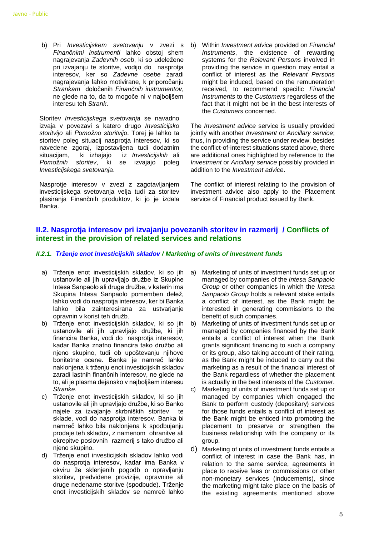b) Pri *Investicijskem svetovanju* v zvezi s b) Within *Investment advice* provided on Financial *Finančnimi instrumenti* lahko obstoj shem nagrajevanja *Zadevnih oseb*, ki so udeležene pri izvajanju te storitve, vodijo do nasprotja interesov, ker so *Zadevne osebe* zaradi nagrajevanja lahko motivirane, k priporočanju *Strankam* določenih *Finančnih instrumentov*, ne glede na to, da to mogoče ni v najboljšem interesu teh *Strank*.

Storitev *Investicijskega svetovanja* se navadno izvaja v povezavi s katero drugo *Investicijsko storitvijo* ali *Pomožno storitvijo*. Torej je lahko ta storitev poleg situacij nasprotja interesov, ki so navedene zgoraj, izpostavljena tudi dodatnim situacijam, ki izhajajo iz *Investicijskih* ali *Pomožnih storitev*, ki se izvajajo poleg *Investicijskega svetovanja*.

Nasprotje interesov v zvezi z zagotavljanjem investicijskega svetovanja velja tudi za storitev plasiranja Finančnih produktov, ki jo je izdala Banka.

*Instruments*, the existence of rewarding systems for the *Relevant Persons* involved in providing the service in question may entail a conflict of interest as the *Relevant Persons*  might be induced, based on the remuneration received, to recommend specific *Financial Instruments* to the *Customers* regardless of the fact that it might not be in the best interests of the *Customers* concerned.

The *Investment advice* service is usually provided jointly with another *Investment* or *Ancillary service*; thus, in providing the service under review, besides the conflict-of-interest situations stated above, there are additional ones highlighted by reference to the *Investment* or *Ancillary service* possibly provided in addition to the *Investment advice*.

The conflict of interest relating to the provision of investment advice also apply to the Placement service of Financial product issued by Bank.

## <span id="page-4-0"></span>**II.2. Nasprotja interesov pri izvajanju povezanih storitev in razmerij / Conflicts of interest in the provision of related services and relations**

#### <span id="page-4-1"></span>*II.2.1. Trženje enot investicijskih skladov / Marketing of units of investment funds*

- a) Trženje enot investicijskih skladov, ki so jih ustanovile ali jih upravljajo družbe iz Skupine Intesa Sanpaolo ali druge družbe, v katerih ima Skupina Intesa Sanpaolo pomemben delež, lahko vodi do nasprotja interesov, ker bi Banka lahko bila zainteresirana za ustvarjanje opravnin v korist teh družb.
- b) Trženje enot investicijskih skladov, ki so jih ustanovile ali jih upravljajo družbe, ki jih financira Banka, vodi do nasprotia interesov, kadar Banka znatno financira tako družbo ali njeno skupino, tudi ob upoštevanju njihove bonitetne ocene. Banka je namreč lahko naklonjena k trženju enot investicijskih skladov zaradi lastnih finančnih interesov, ne glede na to, ali je plasma dejansko v najboljšem interesu *Stranke*.
- c) Trženje enot investicijskih skladov, ki so jih ustanovile ali jih upravljajo družbe, ki so Banko najele za izvajanje skrbniških storitev te sklade, vodi do nasprotja interesov. Banka bi namreč lahko bila naklonjena k spodbujanju prodaje teh skladov, z namenom ohranitve ali okrepitve poslovnih razmerij s tako družbo ali njeno skupino.
- d) Trženje enot investicijskih skladov lahko vodi do nasprotja interesov, kadar ima Banka v okviru že sklenjenih pogodb o opravljanju storitev, predvidene provizije, opravnine ali druge nedenarne storitve (spodbude). Trženje enot investicijskih skladov se namreč lahko
- a) Marketing of units of investment funds set up or managed by companies of the *Intesa Sanpaolo Group* or other companies in which the *Intesa Sanpaolo Group* holds a relevant stake entails a conflict of interest, as the Bank might be interested in generating commissions to the benefit of such companies.
- b) Marketing of units of investment funds set up or managed by companies financed by the Bank entails a conflict of interest when the Bank grants significant financing to such a company or its group, also taking account of their rating, as the Bank might be induced to carry out the marketing as a result of the financial interest of the Bank regardless of whether the placement is actually in the best interests of the *Customer*. c) Marketing of units of investment funds set up or managed by companies which engaged the Bank to perform custody (depositary) services for those funds entails a conflict of interest as
	- the Bank might be enticed into promoting the placement to preserve or strengthen the business relationship with the company or its group.
- d) Marketing of units of investment funds entails a conflict of interest in case the Bank has, in relation to the same service, agreements in place to receive fees or commissions or other non-monetary services (inducements), since the marketing might take place on the basis of the existing agreements mentioned above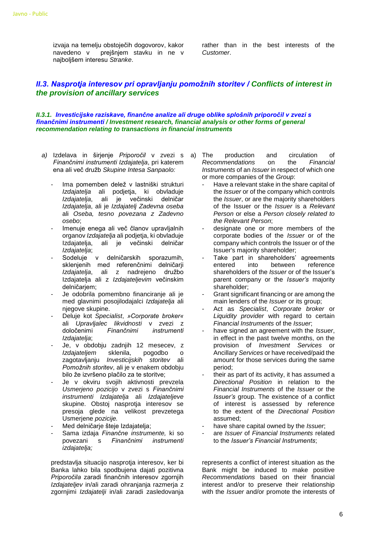izvaja na temelju obstoječih dogovorov, kakor navedeno v prejšnjem stavku in ne v najboljšem interesu *Stranke*.

rather than in the best interests of the *Customer*.

## <span id="page-5-0"></span>*II.3. Nasprotja interesov pri opravljanju pomožnih storitev / Conflicts of interest in the provision of ancillary services*

<span id="page-5-1"></span>*II.3.1. Investicijske raziskave, finančne analize ali druge oblike splošnih priporočil v zvezi s finančnimi instrumenti / Investment research, financial analysis or other forms of general recommendation relating to transactions in financial instruments*

- *a)* Izdelava in širjenje *Priporočil* v zvezi s *Finančnimi instrumenti Izdajatelja*, pri katerem ena ali več družb *Skupine Intesa Sanpaolo:*
	- Ima pomemben delež v lastniški strukturi *Izdajatelja* ali podjetja, ki obvladuje *Izdajatelja*, ali je večinski delničar *Izdajatelja*, ali je *Izdajatelj Zadevna oseba*  ali *Oseba, tesno povezana z Zadevno osebo*;
	- Imenuje enega ali več članov upravljalnih organov *Izdajatelja* ali podjetja, ki obvladuje Izdajatelja, ali je večinski delničar *Izdajatelja*;
	- Sodeluje v delničarskih sporazumih, sklenjenih med referenčnimi delničarji *Izdajatelja*, ali z nadrejeno družbo Izdajatelja ali z *Izdajateljevim* večinskim delničarjem;
	- Je odobrila pomembno financiranje ali je med glavnimi posojilodajalci *Izdajatelja* ali njegove skupine.
	- Deluje kot *Specialist*, *»Corporate broker«* ali *Upravljalec likvidnosti* v zvezi z določenimi *Finančnimi instrumenti Izdajatelja*;
	- Je, v obdobju zadnjih 12 mesecev, z *Izdajateljem* sklenila, pogodbo o zagotavljanju *Investicijskih storitev* ali *Pomožnih storitev*, ali je v enakem obdobju bilo že izvršeno plačilo za te storitve;
	- Je v okviru svojih aktivnosti prevzela *Usmerjeno pozicijo* v zvezi s *Finančnimi instrumenti Izdajatelja* ali *Izdajateljeve*  skupine. Obstoj nasprotja interesov se presoja glede na velikost prevzetega Usmerjene *pozicije.*
	- Med delničarje šteje Izdajatelja;
	- Sama izdaja *Finančne instrumente,* ki so povezani s *Finančnimi instrumenti izdajatelja;*

predstavlja situacijo nasprotja interesov, ker bi Banka lahko bila spodbujena dajati pozitivna *Priporočila* zaradi finančnih interesov zgornjih *Izdajateljev* in/ali zaradi ohranjanja razmerja z zgornjimi *Izdajatelji* in/ali zaradi zasledovanja

production and circulation of *Recommendations* on the *Financial Instruments* of an *Issuer* in respect of which one or more companies of the *Group*:

- Have a relevant stake in the share capital of the *Issuer* or of the company which controls the *Issuer*, or are the majority shareholders of the Issuer or the *Issuer* is a *Relevant Person* or else a *Person closely related to the Relevant Person*;
- designate one or more members of the corporate bodies of the *Issuer* or of the company which controls the Issuer or of the Issuer's majority shareholder;
- Take part in shareholders' agreements entered into between reference shareholders of the *Issuer* or of the Issuer's parent company or the *Issuer's* majority shareholder;
- Grant significant financing or are among the main lenders of the *Issuer* or its group;
- Act as *Specialist*, *Corporate broker* or *Liquidity provider* with regard to certain *Financial Instruments* of the *Issuer*;
- have signed an agreement with the *Issuer*, in effect in the past twelve months, on the provision of *Investment Services* or Ancillary *Services* or have received/paid the amount for those services during the same period;
- their as part of its activity, it has assumed a *Directional Position* in relation to the *Financial Instruments* of the *Issuer* or the *Issuer's* group. The existence of a conflict of interest is assessed by reference to the extent of the *Directional Position* assumed;
- have share capital owned by the *Issuer*;
- are *Issuer* of *Financial Instruments* related to the *Issuer's Financial Instruments*;

represents a conflict of interest situation as the Bank might be induced to make positive *Recommendations* based on their financial interest and/or to preserve their relationship with the *Issuer* and/or promote the interests of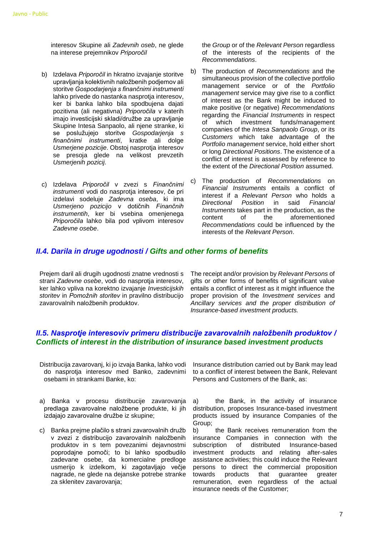interesov Skupine ali *Zadevnih oseb*, ne glede na interese prejemnikov *Priporočil*

- b) Izdelava *Priporočil* in hkratno izvajanje storitve upravljanja kolektivnih naložbenih podjemov ali storitve *Gospodarjenja s finančnimi instrumenti* lahko privede do nastanka nasprotia interesov. ker bi banka lahko bila spodbujena dajati pozitivna (ali negativna) *Priporočila* v katerih imajo investicijski skladi/družbe za upravljanje Skupine Intesa Sanpaolo, ali njene stranke, ki se poslužujejo storitve *Gospodarjenja s finančnimi instrumenti*, kratke ali dolge *Usmerjene pozicije*. Obstoj nasprotja interesov se presoja glede na velikost prevzetih *Usmerjenih pozicij*.
- c) Izdelava *Priporočil* v zvezi s *Finančnimi instrumenti* vodi do nasprotja interesov, če pri izdelavi sodeluje *Zadevna oseba*, ki ima *Usmerjeno pozicijo* v dotičnih *Finančnih instrumentih*, ker bi vsebina omenjenega *Priporočila* lahko bila pod vplivom interesov *Zadevne osebe*.

the *Group* or of the *Relevant Person* regardless of the interests of the recipients of the *Recommendations*.

- b) The production of *Recommendations* and the simultaneous provision of the collective portfolio management service or of the *Portfolio management* service may give rise to a conflict of interest as the Bank might be induced to make positive (or negative) *Recommendations*  regarding the *Financial Instruments* in respect of which investment funds/management companies of the *Intesa Sanpaolo Group*, or its *Customers* which take advantage of the *Portfolio management* service, hold either short or long *Directional Positions*. The existence of a conflict of interest is assessed by reference to the extent of the *Directional Position* assumed.
- c) The production of *Recommendations* on *Financial Instruments* entails a conflict of interest if a *Relevant Person* who holds a *Directional Position* in said *Financial Instruments* takes part in the production, as the content of the aforementioned *Recommendations* could be influenced by the interests of the *Relevant Person*.

### <span id="page-6-0"></span>*II.4. Darila in druge ugodnosti / Gifts and other forms of benefits*

Prejem daril ali drugih ugodnosti znatne vrednosti s strani *Zadevne osebe*, vodi do nasprotja interesov, ker lahko vpliva na korektno izvajanje *Investicijskih storitev* in *Pomožnih storitev* in pravilno distribucijo zavarovalnih naložbenih produktov.

The receipt and/or provision by *Relevant Persons* of gifts or other forms of benefits of significant value entails a conflict of interest as it might influence the proper provision of the *Investment services* and *Ancillary services and the proper distribution of Insurance-based investment products.*

## <span id="page-6-1"></span>*II.5. Nasprotje interesoviv primeru distribucije zavarovalnih naložbenih produktov / Conflicts of interest in the distribution of insurance based investment products*

- Distribucija zavarovanj, ki jo izvaja Banka, lahko vodi do nasprotja interesov med Banko, zadevnimi osebami in strankami Banke, ko:
- a) Banka v procesu distribucije zavarovanja predlaga zavarovalne naložbene produkte, ki jih izdajajo zavarovalne družbe iz skupine;
- c) Banka prejme plačilo s strani zavarovalnih družb v zvezi z distribucijo zavarovalnih naložbenih produktov in s tem povezanimi dejavnostmi poprodajne pomoči; to bi lahko spodbudilo zadevane osebe, da komercialne predloge usmerijo k izdelkom, ki zagotavljajo večje nagrade, ne glede na dejanske potrebe stranke za sklenitev zavarovanja;

Insurance distribution carried out by Bank may lead to a conflict of interest between the Bank, Relevant Persons and Customers of the Bank, as:

a) the Bank, in the activity of insurance distribution, proposes Insurance-based investment products issued by insurance Companies of the Group;

b) the Bank receives remuneration from the insurance Companies in connection with the subscription of distributed Insurance-based investment products and relating after-sales assistance activities; this could induce the Relevant persons to direct the commercial proposition towards products that guarantee greater remuneration, even regardless of the actual insurance needs of the Customer;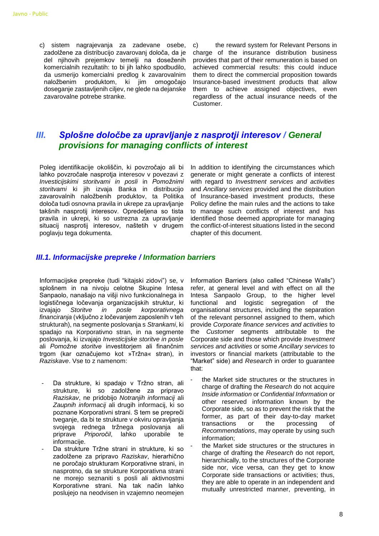c) sistem nagrajevanja za zadevane osebe, zadolžene za distribucijo zavarovanj določa, da je del njihovih prejemkov temelji na doseženih komercialnih rezultatih: to bi jih lahko spodbudilo, da usmerijo komercialni predlog k zavarovalnim naložbenim produktom, ki jim omogočajo doseganje zastavljenih ciljev, ne glede na dejanske zavarovalne potrebe stranke.

c) the reward system for Relevant Persons in charge of the insurance distribution business provides that part of their remuneration is based on achieved commercial results: this could induce them to direct the commercial proposition towards Insurance-based investment products that allow them to achieve assigned objectives, even regardless of the actual insurance needs of the Customer.

## <span id="page-7-0"></span>*III. Splošne določbe za upravljanje z nasprotji interesov / General provisions for managing conflicts of interest*

Poleg identifikacije okoliščin, ki povzročajo ali bi lahko povzročale nasprotja interesov v povezavi z *Investicijskimi storitvami in posli* in *Pomožnimi storitvami* ki jih izvaja Banka in distribucijo zavarovalnih naložbenih produktov, ta Politika določa tudi osnovna pravila in ukrepe za upravljanje takšnih nasprotij interesov. Opredeljena so tista pravila in ukrepi, ki so ustrezna za upravljanje situacij nasprotij interesov, naštetih v drugem poglavju tega dokumenta.

In addition to identifying the circumstances which generate or might generate a conflicts of interest with regard to *Investment services and activities* and *Ancillary services* provided and the distribution of Insurance-based investment products, these Policy define the main rules and the actions to take to manage such conflicts of interest and has identified those deemed appropriate for managing the conflict-of-interest situations listed in the second chapter of this document.

#### <span id="page-7-1"></span>*III.1. Informacijske prepreke / Information barriers*

Informacijske prepreke (tudi "kitajski zidovi") se, v splošnem in na nivoju celotne Skupine Intesa Sanpaolo, nanašajo na višji nivo funkcionalnega in logističnega ločevanja organizacijskih struktur, ki izvajajo *Storitve in posle korporativnega financiranja* (vključno z ločevanjem zaposlenih v teh strukturah), na segmente poslovanja s *Strankami*, ki spadajo na Korporativno stran, in na segmente poslovanja, ki izvajajo *Investicijske storitve in posle* ali *Pomožne storitve* investitorjem ali finančnim trgom (kar označujemo kot »Tržna« stran), in *Raziskave*. Vse to z namenom:

- Da strukture, ki spadajo v Tržno stran, ali strukture, ki so zadolžene za pripravo *Raziskav*, ne pridobijo *Notranjih informacij* ali *Zaupnih informacij* ali drugih informacij, ki so poznane Korporativni strani. S tem se prepreči tveganje, da bi te strukture v okviru opravljanja svojega rednega tržnega poslovanja ali priprave *Priporočil*, lahko uporabile te informacije.
- Da strukture Tržne strani in strukture, ki so zadolžene za pripravo *Raziskav*, hierarhično ne poročajo strukturam Korporativne strani, in nasprotno, da se strukture Korporativna strani ne morejo seznaniti s posli ali aktivnostmi Korporativne strani. Na tak način lahko poslujejo na neodvisen in vzajemno neomejen

Information Barriers (also called "Chinese Walls") refer, at general level and with effect on all the Intesa Sanpaolo Group, to the higher level functional and logistic segregation of the organisational structures, including the separation of the relevant personnel assigned to them, which provide *Corporate finance services and activities* to the *Customer* segments attributable to the Corporate side and those which provide *Investment services and activities* or some *Ancillary services* to investors or financial markets (attributable to the "Market" side) and *Research* in order to guarantee that:

- the Market side structures or the structures in charge of drafting the *Research* do not acquire *Inside information* or *Confidential Information* or other reserved information known by the Corporate side, so as to prevent the risk that the former, as part of their day-to-day market transactions or the processing of *Recommendations*, may operate by using such information;
	- the Market side structures or the structures in charge of drafting the *Research* do not report, hierarchically, to the structures of the Corporate side nor, vice versa, can they get to know Corporate side transactions or activities; thus, they are able to operate in an independent and mutually unrestricted manner, preventing, in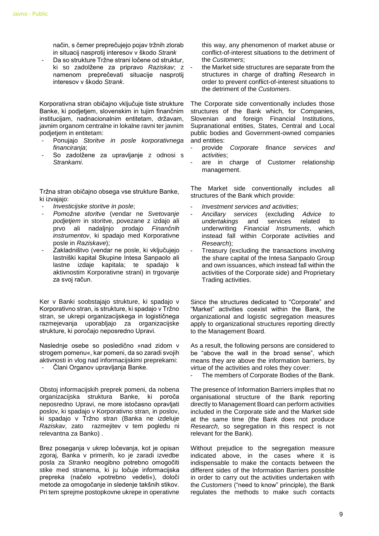način, s čemer preprečujejo pojav tržnih zlorab in situacij nasprotij interesov v škodo *Strank*

Da so strukture Tržne strani ločene od struktur. ki so zadolžene za pripravo *Raziskav*; z namenom preprečevati situacije nasprotij interesov v škodo *Strank*.

Korporativna stran običajno vključuje tiste strukture Banke, ki podjetjem, slovenskim in tujim finančnim institucijam, nadnacionalnim entitetam, državam, javnim organom centralne in lokalne ravni ter javnim podjetjem in entitetam:

- Ponujajo *Storitve in posle korporativnega financiranja*;
- So zadolžene za upravljanje z odnosi s *Strankami*.

Tržna stran običajno obsega vse strukture Banke, ki izvajajo:

- *Investicijske storitve in posle*;
- *Pomožne storitve* (vendar ne *Svetovanje podjetjem* in storitve, povezane z izdajo ali prvo ali nadaljnjo prodajo *Finančnih instrumentov*, ki spadajo med Korporativne posle in *Raziskave*);
- Zakladništvo (vendar ne posle, ki vključujejo lastniški kapital Skupine Intesa Sanpaolo ali lastne izdaje kapitala; te spadajo k aktivnostim Korporativne strani) in trgovanje za svoj račun.

Ker v Banki soobstajajo strukture, ki spadajo v Korporativno stran, is strukture, ki spadajo v Tržno stran, se ukrepi organizacijskega in logističnega razmejevanja uporabljajo za organizacijske strukture, ki poročajo neposredno Upravi.

Naslednje osebe so posledično »nad zidom v strogem pomenu«, kar pomeni, da so zaradi svojih aktivnosti in vlog nad informacijskimi preprekami:

- Člani Organov upravljanja Banke.

Obstoj informacijskih preprek pomeni, da nobena organizacijska struktura Banke, ki poroča neposredno Upravi, ne more istočasno opravljati poslov, ki spadajo v Korporativno stran, in poslov, ki spadajo v Tržno stran (Banka ne izdeluje *Raziskav,* zato razmejitev v tem pogledu ni relevantna za Banko) .

Brez poseganja v ukrep ločevanja, kot je opisan zgoraj, Banka v primerih, ko je zaradi izvedbe posla za *Stranko* neogibno potrebno omogočiti stike med stranema, ki ju ločuje informacijska prepreka (načelo »potrebno vedeti«), določi metode za omogočanje in sledenje takšnih stikov. Pri tem sprejme postopkovne ukrepe in operativne

this way, any phenomenon of market abuse or conflict-of-interest situations to the detriment of the *Customers*;

the Market side structures are separate from the structures in charge of drafting *Research* in order to prevent conflict-of-interest situations to the detriment of the *Customers*.

The Corporate side conventionally includes those structures of the Bank which, for Companies, Slovenian and foreign Financial Institutions, Supranational entities, States, Central and Local public bodies and Government-owned companies and entities:

- provide *Corporate finance services and activities*;
- are in charge of Customer relationship management.

The Market side conventionally includes all structures of the Bank which provide:

- *Investment services and activities*;
- *Ancillary services* (excluding *Advice to undertakings* and services related to underwriting *Financial Instruments*, which instead fall within Corporate activities and *Research*);
- Treasury (excluding the transactions involving the share capital of the Intesa Sanpaolo Group and own issuances, which instead fall within the activities of the Corporate side) and Proprietary Trading activities.

Since the structures dedicated to "Corporate" and "Market" activities coexist within the Bank, the organizational and logistic segregation measures apply to organizational structures reporting directly to the Management Board.

As a result, the following persons are considered to be "above the wall in the broad sense", which means they are above the information barriers, by virtue of the activities and roles they cover:

The members of Corporate Bodies of the Bank.

The presence of Information Barriers implies that no organisational structure of the Bank reporting directly to Management Board can perform activities included in the Corporate side and the Market side at the same time (the Bank does not produce *Research,* so segregation in this respect is not relevant for the Bank).

Without prejudice to the segregation measure indicated above, in the cases where it is indispensable to make the contacts between the different sides of the Information Barriers possible in order to carry out the activities undertaken with the *Customers* ("need to know" principle)*,* the Bank regulates the methods to make such contacts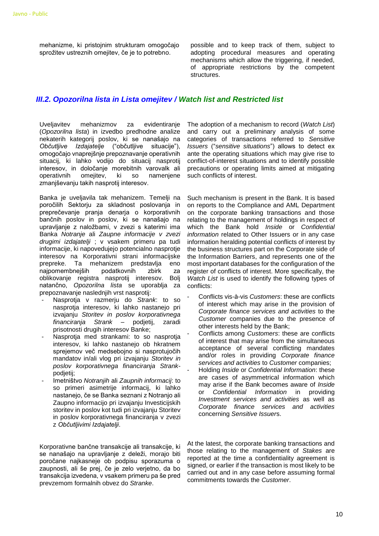mehanizme, ki pristojnim strukturam omogočajo sprožitev ustreznih omejitev, če je to potrebno.

possible and to keep track of them, subject to adopting procedural measures and operating mechanisms which allow the triggering, if needed, of appropriate restrictions by the competent structures.

## <span id="page-9-0"></span>*III.2. Opozorilna lista in Lista omejitev / Watch list and Restricted list*

Uveljavitev mehanizmov za evidentiranje (*Opozorilna lista*) in izvedbo predhodne analize nekaterih kategorij poslov, ki se nanašajo na *Občutljive Izdajatelje* ("občutljive situacije"), omogočajo vnaprejšnje prepoznavanje operativnih situacij, ki lahko vodijo do situacij nasprotij interesov, in določanje morebitnih varovalk ali operativnih omejitev, ki so namenjene zmanjševanju takih nasprotij interesov.

Banka je uveljavila tak mehanizem. Temelji na poročilih Sektorju za skladnost poslovanja in preprečevanje pranja denarja o korporativnih bančnih poslov in poslov, ki se nanašajo na upravljanje z naložbami, v zvezi s katerimi ima Banka *Notranje* ali *Zaupne informacije v zvezi drugimi izdajatelji* ; v vsakem primeru pa tudi informacije, ki napovedujejo potencialno nasprotje interesov na Korporativni strani informacijske prepreke. Ta mehanizem predstavlja eno najpomembnejših podatkovnih zbirk za oblikovanje registra nasprotij interesov. Bolj natančno, *Opozorilna lista* se uporablja za prepoznavanje naslednjih vrst nasprotij:

- Nasprotja v razmerju do *Strank*: to so nasprotja interesov, ki lahko nastanejo pri izvajanju *Storitev in poslov korporativnega financiranja Strank* – podjetij, zaradi prisotnosti drugih interesov Banke;
- Nasprotja med strankami: to so nasprotja interesov, ki lahko nastanejo ob hkratnem sprejemov več medsebojno si nasprotujočih mandatov in/ali vlog pri izvajanju *Storitev in poslov korporativnega financiranja Strank*podjetij;
- Imetništvo *Notranjih* ali *Zaupnih informacij*: to so primeri asimetrije informacij, ki lahko nastanejo, če se Banka seznani z Notranjo ali Zaupno informacijo pri izvajanju Investicijskih storitev in poslov kot tudi pri izvajanju Storitev in poslov korporativnega financiranja v zvezi z *Občutljivimi Izdajatelji*.

Korporativne bančne transakcije ali transakcije, ki se nanašajo na upravljanje z deleži, morajo biti poročane najkasneje ob podpisu sporazuma o zaupnosti, ali še prej, če je zelo verjetno, da bo transakcija izvedena, v vsakem primeru pa še pred prevzemom formalnih obvez do *Stranke*.

The adoption of a mechanism to record (*Watch List*) and carry out a preliminary analysis of some categories of transactions referred to *Sensitive Issuers* ("*sensitive situations*") allows to detect ex ante the operating situations which may give rise to conflict-of-interest situations and to identify possible precautions or operating limits aimed at mitigating such conflicts of interest.

Such mechanism is present in the Bank. It is based on reports to the Compliance and AML Department on the corporate banking transactions and those relating to the management of holdings in respect of which the Bank hold *Inside* or *Confidential information* related to Other Issuers or in any case information heralding potential conflicts of interest by the business structures part on the Corporate side of the Information Barriers, and represents one of the most important databases for the configuration of the register of conflicts of interest. More specifically, the *Watch List* is used to identify the following types of conflicts:

- Conflicts vis-à-vis *Customers*: these are conflicts of interest which may arise in the provision of *Corporate finance services and activities* to the *Customer* companies due to the presence of other interests held by the Bank;
- Conflicts among *Customers*: these are conflicts of interest that may arise from the simultaneous acceptance of several conflicting mandates and/or roles in providing *Corporate finance services and activities* to *Customer* companies;
	- Holding *Inside* or *Confidential Information*: these are cases of asymmetrical information which may arise if the Bank becomes aware of *Inside* or *Confidential Information* in providing *Investment services and activities* as well as *Corporate finance services and activities*  concerning *Sensitive Issuer*s.

At the latest, the corporate banking transactions and those relating to the management of *Stakes* are reported at the time a confidentiality agreement is signed, or earlier if the transaction is most likely to be carried out and in any case before assuming formal commitments towards the *Customer*.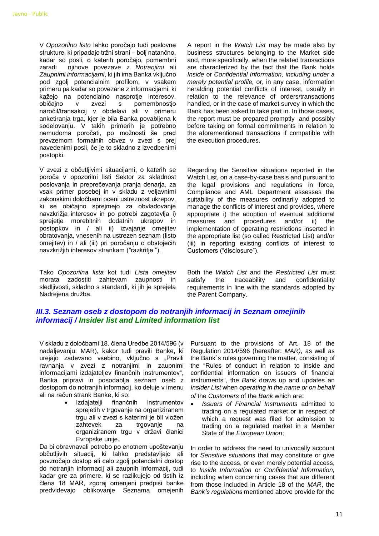V *Opozorilno listo* lahko poročajo tudi poslovne strukture, ki pripadajo tržni strani – bolj natančno, kadar so posli, o katerih poročajo, pomembni zaradi njihove povezave z *Notranjimi* ali *Zaupnimi informacijami*, ki jih ima Banka vključno pod zgolj potencialnim profilom; v vsakem primeru pa kadar so povezane z informacijami, ki kažejo na potencialno nasprotje interesov, običajno v zvezi s pomembnostjo naročil/transakcij v obdelavi ali v primeru anketiranja trga, kjer je bila Banka povabljena k sodelovanju. V takih primerih je potrebno nemudoma poročati, po možnosti še pred prevzemom formalnih obvez v zvezi s prej navedenimi posli, če je to skladno z izvedbenimi postopki.

V zvezi z občutljivimi situacijami, o katerih se poroča v opozorilni listi Sektor za skladnost poslovanja in preprečevanja pranja denarja, za vsak primer posebej in v skladu z veljavnimi zakonskimi določbami oceni ustreznost ukrepov, ki se običajno sprejmejo za obvladovanje navzkrižja interesov in po potrebi zagotavlja i) sprejetje morebitnih dodatnih ukrepov in postopkov in / ali ii) izvajanje omejitev obratovanja, vnesenih na ustrezen seznam (listo omejitev) in / ali (iii) pri poročanju o obstoječih navzkrižjih interesov strankam ("razkritje ").

Tako *Opozorilna lista* kot tudi *Lista omejitev* morata zadostiti zahtevam zaupnosti in sledljivosti, skladno s standardi, ki jih je sprejela Nadrejena družba.

A report in the *Watch List* may be made also by business structures belonging to the Market side and, more specifically, when the related transactions are characterized by the fact that the Bank holds *Inside* or *Confidential Information, including under a merely potential profile,* or, in any case, information heralding potential conflicts of interest, usually in relation to the relevance of orders/transactions handled, or in the case of market survey in which the Bank has been asked to take part in. In those cases, the report must be prepared promptly and possibly before taking on formal commitments in relation to the aforementioned transactions if compatible with the execution procedures.

Regarding the Sensitive situations reported in the Watch List, on a case-by-case basis and pursuant to the legal provisions and regulations in force, Compliance and AML Department assesses the suitability of the measures ordinarily adopted to manage the conflicts of interest and provides, where appropriate i) the adoption of eventual additional measures and procedures and/or ii) the implementation of operating restrictions inserted in the appropriate list (so called Restricted List) and/or (iii) in reporting existing conflicts of interest to Customers ("disclosure").

Both the *Watch List* and the *Restricted List* must satisfy the traceability and confidentiality requirements in line with the standards adopted by the Parent Company.

## <span id="page-10-0"></span>*III.3. Seznam oseb z dostopom do notranjih informacij in Seznam omejinih informacij / Insider list and Limited information list*

V skladu z določbami 18. člena Uredbe 2014/596 (v nadaljevanju: MAR), kakor tudi pravili Banke, ki urejajo zadevano vsebino, vključno s "Pravili ravnanja v zvezi z notranjimi in zaupnimi informacijami izdajateljev finančnih instrumentov", Banka pripravi in posodablja seznam oseb z dostopom do notranjih informacij, ko deluje v imenu ali na račun strank Banke, ki so:

 Izdajatelji finančnih instrumentov sprejetih v trgovanje na organiziranem trgu ali v zvezi s katerimi je bil vložen zahtevek za trgovanje na organiziranem trgu v državi članici Evropske unije.

Da bi obravnavali potrebo po enotnem upoštevanju občutljivih situacij, ki lahko predstavljajo ali povzročajo dostop ali celo zgolj potencialni dostop do notranjih informacij ali zaupnih informacij, tudi kadar gre za primere, ki se razlikujejo od tistih iz člena 18 MAR, zgoraj omenjeni predpisi banke predvidevajo oblikovanje Seznama omejenih Pursuant to the provisions of Art. 18 of the Regulation 2014/596 (hereafter: *MAR)*, as well as the Bank`s rules governing the matter, consisting of the "Rules of conduct in relation to inside and confidential information on issuers of financial instruments", the *Bank* draws up and updates an *Insider List* when *operating in the name or on behalf of* the *Customers* of the *Bank* which are:

 *Issuers of Financial Instruments* admitted to trading on a regulated market or in respect of which a request was filed for admission to trading on a regulated market in a Member State of the *European Union*;

In order to address the need to univocally account for *Sensitive situations* that may constitute or give rise to the access, or even merely potential access, to *Inside Information* or *Confidential Information,*  including when concerning cases that are different from those included in Article 18 of the *MAR*, the *Bank's regulations* mentioned above provide for the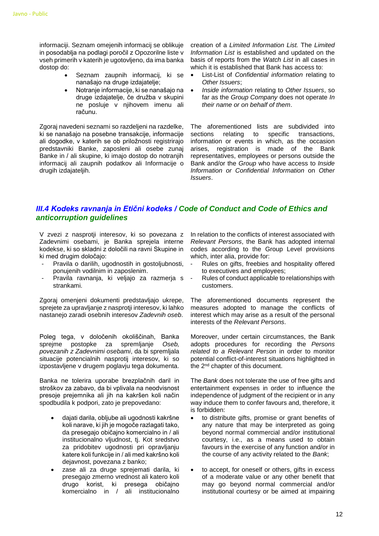informaciji. Seznam omejenih informacij se oblikuje in posodablja na podlagi poročil z Opozorilne liste v vseh primerih v katerih je ugotovljeno, da ima banka dostop do:

- Seznam zaupnih informacij, ki se nanašajo na druge izdajatelje;
- Notranje informacije, ki se nanašajo na druge izdajatelje, če družba v skupini ne posluje v njihovem imenu ali računu.

Zgoraj navedeni seznami so razdeljeni na razdelke, ki se nanašajo na posebne transakcije, informacije ali dogodke, v katerih se ob priložnosti registrirajo predstavniki Banke, zaposleni ali osebe zunaj Banke in / ali skupine, ki imajo dostop do notranjih informacij ali zaupnih podatkov ali Informacije o drugih izdajateljih.

creation of a *Limited Information List.* The *Limited Information List* is established and updated on the basis of reports from the *Watch List* in all cases in which it is established that Bank has access to:

- List-List of *Confidential information* relating to *Other Issuers*;
- *Inside information* relating to *Other Issuers*, so far as the *Group Company* does not operate *In their name or on behalf of them*.

The aforementioned lists are subdivided into sections relating to specific transactions, information or events in which, as the occasion arises, registration is made of the Bank representatives, employees or persons outside the Bank and/or the *Group* who have access to *Inside Information or Confidential Information* on *Other Issuers*.

## <span id="page-11-0"></span>*III.4 Kodeks ravnanja in Etični kodeks / Code of Conduct and Code of Ethics and anticorruption guidelines*

V zvezi z nasprotji interesov, ki so povezana z Zadevnimi osebami, je Banka sprejela interne kodekse, ki so skladni z določili na ravni Skupine in ki med drugim določajo:

- Pravila o darilih, ugodnostih in gostoljubnosti, ponujenih vodilnim in zaposlenim.
- Pravila ravnanja, ki veljajo za razmerja s strankami.

Zgoraj omenjeni dokumenti predstavljajo ukrepe, sprejete za upravljanje z nasprotji interesov, ki lahko nastanejo zaradi osebnih interesov *Zadevnih oseb*.

Poleg tega, v določenih okoliščinah, Banka sprejme postopke za spremljanje *Oseb, povezanih z Zadevnimi osebami*, da bi spremljala situacije potencialnih nasprotij interesov, ki so izpostavljene v drugem poglavju tega dokumenta.

Banka ne tolerira uporabe brezplačnih daril in stroškov za zabavo, da bi vplivala na neodvisnost presoje prejemnika ali jih na kakršen koli način spodbudila k podpori, zato je prepovedano:

- dajati darila, obljube ali ugodnosti kakršne koli narave, ki jih je mogoče razlagati tako, da presegajo običajno komercialno in / ali institucionalno vljudnost, tj. Kot sredstvo za pridobitev ugodnosti pri opravljanju katere koli funkcije in / ali med kakršno koli dejavnost, povezana z banko;
- zase ali za druge sprejemati darila, ki presegajo zmerno vrednost ali katero koli drugo korist, ki presega običajno komercialno in / ali institucionalno

In relation to the conflicts of interest associated with *Relevant Persons*, the Bank has adopted internal codes according to the Group Level provisions which, inter alia, provide for:

- Rules on gifts, freebies and hospitality offered to executives and employees;
- Rules of conduct applicable to relationships with customers.

The aforementioned documents represent the measures adopted to manage the conflicts of interest which may arise as a result of the personal interests of the *Relevant Persons*.

Moreover, under certain circumstances, the Bank adopts procedures for recording the *Persons related to a Relevant Person* in order to monitor potential conflict-of-interest situations highlighted in the 2nd chapter of this document.

The *Bank* does not tolerate the use of free gifts and entertainment expenses in order to influence the independence of judgment of the recipient or in any way induce them to confer favours and, therefore, it is forbidden:

- to distribute gifts, promise or grant benefits of any nature that may be interpreted as going beyond normal commercial and/or institutional courtesy, i.e., as a means used to obtain favours in the exercise of any function and/or in the course of any activity related to the *Bank*;
- to accept, for oneself or others, gifts in excess of a moderate value or any other benefit that may go beyond normal commercial and/or institutional courtesy or be aimed at impairing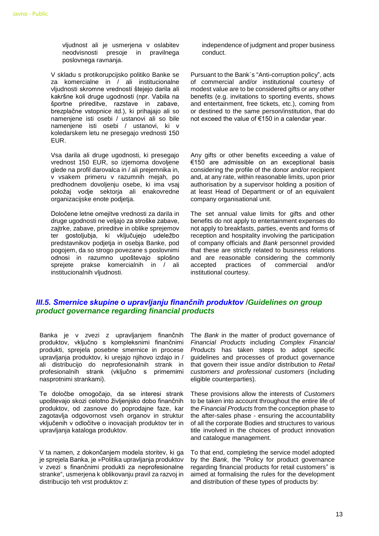vljudnost ali je usmerjena v oslabitev neodvisnosti presoje in pravilnega poslovnega ravnanja.

V skladu s protikorupcijsko politiko Banke se za komercialne in / ali institucionalne vljudnosti skromne vrednosti štejejo darila ali kakršne koli druge ugodnosti (npr. Vabila na športne prireditve, razstave in zabave, brezplačne vstopnice itd.), ki prihajajo ali so namenjene isti osebi / ustanovi ali so bile namenjene isti osebi / ustanovi, ki v koledarskem letu ne presegajo vrednosti 150 EUR.

Vsa darila ali druge ugodnosti, ki presegajo vrednost 150 EUR, so izjemoma dovoljene glede na profil darovalca in / ali prejemnika in, v vsakem primeru v razumnih mejah, po predhodnem dovoljenju osebe, ki ima vsaj položaj vodje sektorja ali enakovredne organizacijske enote podjetja.

Določene letne omejitve vrednosti za darila in druge ugodnosti ne veljajo za stroške zabave, zajtrke, zabave, prireditve in oblike sprejemov ter gostoljubja, ki vključujejo udeležbo predstavnikov podjetja in osebja Banke, pod pogojem, da so strogo povezane s poslovnimi odnosi in razumno upoštevajo splošno sprejete prakse komercialnih in / ali institucionalnih vljudnosti.

independence of judgment and proper business conduct.

Pursuant to the Bank`s "Anti-corruption policy", acts of commercial and/or institutional courtesy of modest value are to be considered gifts or any other benefits (e.g. invitations to sporting events, shows and entertainment, free tickets, etc.), coming from or destined to the same person/institution, that do not exceed the value of €150 in a calendar year.

Any gifts or other benefits exceeding a value of €150 are admissible on an exceptional basis considering the profile of the donor and/or recipient and, at any rate, within reasonable limits, upon prior authorisation by a supervisor holding a position of at least Head of Department or of an equivalent company organisational unit.

The set annual value limits for gifts and other benefits do not apply to entertainment expenses do not apply to breakfasts, parties, events and forms of reception and hospitality involving the participation of company officials and *Bank* personnel provided that these are strictly related to business relations and are reasonable considering the commonly accepted practices of commercial and/or institutional courtesy.

### <span id="page-12-0"></span>*III.5. Smernice skupine o upravljanju finančnih produktov* /*Guidelines on group product governance regarding financial products*

Banka je v zvezi z upravljanjem finančnih produktov, vključno s kompleksnimi finančnimi produkti, sprejela posebne smernice in procese upravljanja produktov, ki urejajo njihovo izdajo in / ali distribucijo do neprofesionalnih strank in profesionalnih strank (vključno s primernimi nasprotnimi strankami).

Te določbe omogočajo, da se interesi strank upoštevajo skozi celotno življenjsko dobo finančnih produktov, od zasnove do poprodajne faze, kar zagotavlja odgovornost vseh organov in struktur vključenih v odločitve o inovacijah produktov ter in upravljanja kataloga produktov.

V ta namen, z dokončanjem modela storitev, ki ga je sprejela Banka, je »Politika upravljanja produktov v zvezi s finančnimi produkti za neprofesionalne stranke", usmerjena k oblikovanju pravil za razvoj in distribucijo teh vrst produktov z:

The *Bank* in the matter of product governance of *Financial Products* including *Complex Financial Products* has taken steps to adopt specific guidelines and processes of product governance that govern their issue and/or distribution to *Retail customers and professional customers* (including eligible counterparties).

These provisions allow the interests of *Customers* to be taken into account throughout the entire life of the *Financial Products* from the conception phase to the after-sales phase - ensuring the accountability of all the corporate Bodies and structures to various title involved in the choices of product innovation and catalogue management.

To that end, completing the service model adopted by the *Bank*, the "Policy for product governance regarding financial products for retail customers" is aimed at formalising the rules for the development and distribution of these types of products by: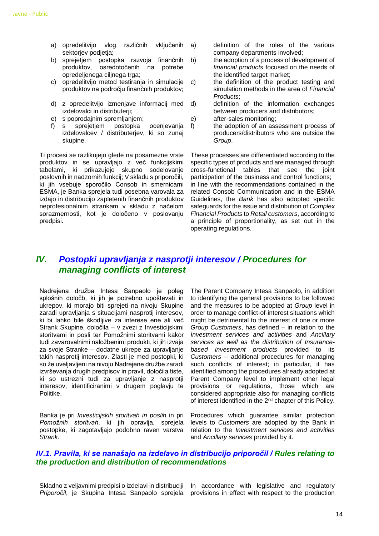- a) opredelitvijo vlog različnih vključenih sektorjev podjetja;
- b) sprejetjem postopka razvoja finančnih produktov, osredotočenih na potrebe opredeljenega ciljnega trga;
- c) opredelitvijo metod testirania in simulacije c) produktov na področju finančnih produktov;
- d) z opredelitvijo izmenjave informacij med izdelovalci in distributerji;
- e) s poprodajnim spremljanjem;
- f) s sprejetjem postopka ocenjevanja izdelovalcev / distributerjev, ki so zunaj skupine.

Ti procesi se razlikujejo glede na posamezne vrste produktov in se upravljajo z več funkcijskimi tabelami, ki prikazujejo skupno sodelovanje poslovnih in nadzornih funkcij; V skladu s priporočili, ki jih vsebuje sporočilo Consob in smernicami ESMA, je Banka sprejela tudi posebna varovala za izdajo in distribucijo zapletenih finančnih produktov neprofesionalnim strankam v skladu z načelom sorazmernosti, kot je določeno v poslovanju predpisi.

- a) definition of the roles of the various company departments involved;
- b) the adoption of a process of development of *financial products* focused on the needs of the identified target market;
	- the definition of the product testing and simulation methods in the area of *Financial Products*;
- d) definition of the information exchanges between producers and distributors;
- e) after-sales monitoring;
- f) the adoption of an assessment process of producers/distributors who are outside the *Group*.

These processes are differentiated according to the specific types of products and are managed through cross-functional tables that see the joint participation of the business and control functions; in line with the recommendations contained in the related Consob Communication and in the ESMA Guidelines, the *Bank* has also adopted specific safeguards for the issue and distribution of *Complex Financial Products* to *Retail customers*, according to a principle of proportionality, as set out in the operating regulations.

## <span id="page-13-0"></span>*IV. Postopki upravljanja z nasprotji interesov / Procedures for managing conflicts of interest*

Nadrejena družba Intesa Sanpaolo je poleg splošnih določb, ki jih je potrebno upoštevati in ukrepov, ki morajo biti sprejeti na nivoju Skupine zaradi upravljanja s situacijami nasprotij interesov, ki bi lahko bile škodljive za interese ene ali več Strank Skupine, določila – v zvezi z Investicijskimi storitvami in posli ter Pomožnimi storitvami kakor tudi zavarovalnimi naložbenimi produkti, ki jih izvaja za svoje Stranke – dodatne ukrepe za upravljanje takih nasprotij interesov. Zlasti je med postopki, ki so že uveljavljeni na nivoju Nadrejene družbe zaradi izvrševanja drugih predpisov in pravil, določila tiste, ki so ustrezni tudi za upravljanje z nasprotji interesov, identificiranimi v drugem poglavju te Politike.

Banka je pri *Investicijskih storitvah in poslih* in pri *Pomožnih storitvah*, ki jih opravlja, sprejela postopke, ki zagotavljajo podobno raven varstva *Strank*.

The Parent Company Intesa Sanpaolo, in addition to identifying the general provisions to be followed and the measures to be adopted at *Group* level in order to manage conflict-of-interest situations which might be detrimental to the interest of one or more *Group Customers*, has defined – in relation to the *Investment services and activities* and *Ancillary services as well as the distribution of Insurancebased investment products* provided to its *Customers* – additional procedures for managing such conflicts of interest; in particular, it has identified among the procedures already adopted at Parent Company level to implement other legal provisions or regulations, those which are considered appropriate also for managing conflicts of interest identified in the 2nd chapter of this Policy.

Procedures which guarantee similar protection levels to *Customers* are adopted by the Bank in relation to the *Investment services and activities*  and *Ancillary services* provided by it.

## <span id="page-13-1"></span>*IV.1. Pravila, ki se nanašajo na izdelavo in distribucijo priporočil / Rules relating to the production and distribution of recommendations*

Priporočil, je Skupina Intesa Sanpaolo sprejela provisions in effect with respect to the production

Skladno z veljavnimi predpisi o izdelavi in distribuciji In accordance with legislative and regulatory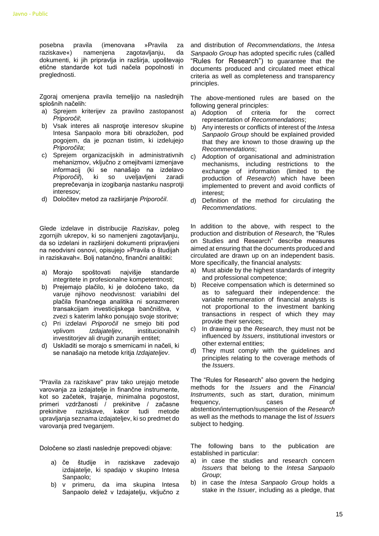posebna pravila (imenovana »Pravila za raziskave«) namenjena zagotavljanju, da dokumenti, ki jih pripravlja in razširja, upoštevajo etične standarde kot tudi načela popolnosti in preglednosti.

Zgoraj omenjena pravila temeljijo na naslednjih splošnih načelih:

- a) Sprejem kriterijev za pravilno zastopanost *Priporočil*;
- b) Vsak interes ali nasprotje interesov skupine Intesa Sanpaolo mora biti obrazložen, pod pogojem, da je poznan tistim, ki izdelujejo *Priporočila*;
- c) Sprejem organizacijskih in administrativnih mehanizmov, vključno z omejitvami izmenjave informacij (ki se nanašajo na izdelavo *Priporočil*), ki so uveljavljeni zaradi preprečevanja in izogibanja nastanku nasprotji interesov;
- d) Določitev metod za razširjanje *Priporočil*.

Glede izdelave in distribucije *Raziskav*, poleg zgornijh ukrepov, ki so namenjeni zagotavljanju, da so izdelani in razširjeni dokumenti pripravljeni na neodvisni osnovi, opisujejo »Pravila o študijah in raziskavah«. Bolj natančno, finančni analitiki:

- a) Morajo spoštovati najvišje standarde integritete in profesionalne kompetentnosti;
- b) Prejemajo plačilo, ki je določeno tako, da varuje njihovo neodvisnost: variabilni del plačila finančnega analitika ni sorazmeren transakcijam investicijskega bančništva, v zvezi s katerim lahko ponujajo svoje storitve;
- c) Pri izdelavi *Priporočil* ne smejo biti pod vplivom *Izdajateljev*, institucionalnih investitorjev ali drugih zunanjih entitet;
- d) Uskladiti se morajo s smernicami in načeli, ki se nanašajo na metode kritja *Izdajateljev*.

"Pravila za raziskave" prav tako urejajo metode varovanja za izdajatelje in finančne instrumente, kot so začetek, trajanje, minimalna pogostost, primeri vzdržanosti / prekinitve / začasne prekinitve raziskave, kakor tudi metode upravljanja seznama izdajateljev, ki so predmet do varovanja pred tveganjem.

Določene so zlasti naslednje prepovedi objave:

- a) če študije in raziskave zadevajo izdajatelje, ki spadajo v skupino Intesa Sanpaolo;
- b) v primeru, da ima skupina Intesa Sanpaolo delež v Izdajatelju, vključno z

and distribution of *Recommendations*, the *Intesa Sanpaolo Group* has adopted specific rules (called "Rules for Research") to guarantee that the documents produced and circulated meet ethical criteria as well as completeness and transparency principles.

The above-mentioned rules are based on the following general principles:

- a) Adoption of criteria for the correct representation of *Recommendations*;
- b) Any interests or conflicts of interest of the *Intesa Sanpaolo Group* should be explained provided that they are known to those drawing up the *Recommendations*;
- c) Adoption of organisational and administration mechanisms, including restrictions to the exchange of information (limited to the production of *Research*) which have been implemented to prevent and avoid conflicts of interest;
- d) Definition of the method for circulating the *Recommendations*.

In addition to the above, with respect to the production and distribution of *Research*, the "Rules on Studies and Research" describe measures aimed at ensuring that the documents produced and circulated are drawn up on an independent basis. More specifically, the financial analysts:

- a) Must abide by the highest standards of integrity and professional competence;
- b) Receive compensation which is determined so as to safeguard their independence: the variable remuneration of financial analysts is not proportional to the investment banking transactions in respect of which they may provide their services;
- c) In drawing up the *Research*, they must not be influenced by *Issuers*, institutional investors or other external entities;
- d) They must comply with the guidelines and principles relating to the coverage methods of the *Issuers*.

The "Rules for Research" also govern the hedging methods for the *Issuers* and the *Financial Instruments*, such as start, duration, minimum frequency, cases of abstention/interruption/suspension of the *Research* as well as the methods to manage the list of *Issuers*  subject to hedging.

The following bans to the publication are established in particular:

- a) in case the studies and research concern *Issuers* that belong to the *Intesa Sanpaolo Group*;
- b) in case the *Intesa Sanpaolo Group* holds a stake in the *Issuer*, including as a pledge, that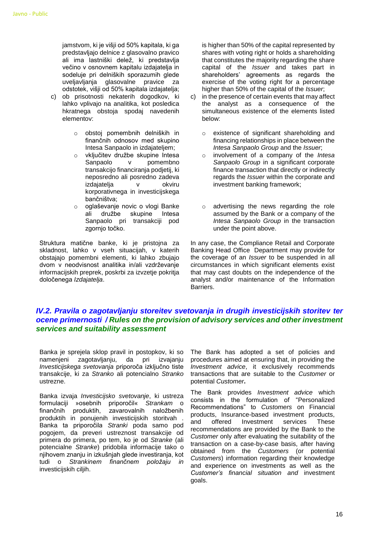jamstvom, ki je višji od 50% kapitala, ki ga predstavljajo delnice z glasovalno pravico ali ima lastniški delež, ki predstavlja večino v osnovnem kapitalu izdajatelja in sodeluje pri delniških sporazumih glede uveljavljanja glasovalne pravice za odstotek, višji od 50% kapitala izdajatelja;

- c) ob prisotnosti nekaterih dogodkov, ki lahko vplivajo na analitika, kot posledica hkratnega obstoja spodaj navedenih elementov:
	- o obstoj pomembnih delniških in finančnih odnosov med skupino Intesa Sanpaolo in izdajateljem;
	- o vključitev družbe skupine Intesa Sanpaolo v pomembno transakcijo financiranja podjetij, ki neposredno ali posredno zadeva izdajatelja v okviru korporativnega in investicijskega bančništva;
	- o oglaševanje novic o vlogi Banke ali družbe skupine Intesa Sanpaolo pri transakciji pod zgornjo točko.

Struktura matične banke, ki je pristojna za skladnost, lahko v vseh situacijah, v katerih obstajajo pomembni elementi, ki lahko zbujajo dvom v neodvisnost analitika in/ali vzdrževanje informacijskih preprek, poskrbi za izvzetje pokritja določenega *Izdajatelja*.

is higher than 50% of the capital represented by shares with voting right or holds a shareholding that constitutes the majority regarding the share capital of the *Issuer* and takes part in shareholders' agreements as regards the exercise of the voting right for a percentage higher than 50% of the capital of the *Issuer*;

- c) in the presence of certain events that may affect the analyst as a consequence of the simultaneous existence of the elements listed below:
	- o existence of significant shareholding and financing relationships in place between the *Intesa Sanpaolo Group* and the *Issuer*;
	- o involvement of a company of the *Intesa Sanpaolo Group* in a significant corporate finance transaction that directly or indirectly regards the *Issuer* within the corporate and investment banking framework;
	- o advertising the news regarding the role assumed by the Bank or a company of the *Intesa Sanpaolo Group* in the transaction under the point above.

In any case, the Compliance Retail and Corporate Banking Head Office Department may provide for the coverage of an *Issuer* to be suspended in all circumstances in which significant elements exist that may cast doubts on the independence of the analyst and/or maintenance of the Information Barriers.

## <span id="page-15-0"></span>*IV.2. Pravila o zagotavljanju storeitev svetovanja in drugih investicijskih storitev ter ocene primernosti / Rules on the provision of advisory services and other investment services and suitability assessment*

Banka je sprejela sklop pravil in postopkov, ki so namenjeni zagotavljanju, da pri izvajanju *Investicijskega svetovanja* priporoča izključno tiste transakcije, ki za *Stranko* ali potencialno *Stranko* ustrezne.

Banka izvaja *Investicijsko svetovanje*, ki ustreza formulaciji »osebnih priporočil« *Strankam* o finančnih produktih, zavarovalnih naložbenih produktih in ponujenih investicijskih storitvah . Banka ta priporočila *Stranki* poda samo pod pogojem, da preveri ustreznost transakcije od primera do primera, po tem, ko je od *Stranke* (ali potencialne *Stranke*) pridobila informacije tako o njihovem znanju in izkušnjah glede investiranja, kot tudi o *Strankinem finančnem položaju in* investicijskih ciljih.

The Bank has adopted a set of policies and procedures aimed at ensuring that, in providing the *Investment advice*, it exclusively recommends transactions that are suitable to the *Customer* or potential *Customer***.**

The Bank provides *Investment advice* which consists in the formulation of "Personalized Recommendations" to *Customers* on Financial products, Insurance-based investment products, and offered Investment services These recommendations are provided by the Bank to the *Customer* only after evaluating the suitability of the transaction on a case-by-case basis, after having obtained from the *Customers* (or potential *Customers*) information regarding their knowledge and experience on investments as well as the *Customer's financial situation and* investment goals.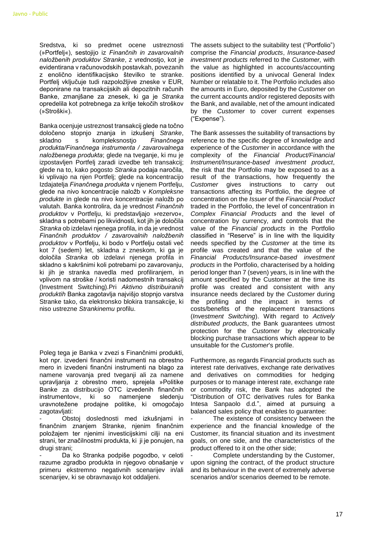Sredstva, ki so predmet ocene ustreznosti (»Portfelj«), sestojijo iz *Finančnih in zavarovalnih naložbenih produktov Stranke*, z vrednostjo, kot je evidentirana v računovodskih postavkah, povezanih z enolično identifikacijsko številko te stranke. Portfelj vključuje tudi razpoložljive zneske v EUR, deponirane na transakcijskih ali depozitnih računih Banke, zmanjšane za znesek, ki ga je *Stranka* opredelila kot potrebnega za kritje tekočih stroškov (»Stroški«).

Banka ocenjuje ustreznost transakcij glede na točno določeno stopnjo znanja in izkušenj *Stranke*, skladno s kompleksnostjo *Finančnega produkta/Finančnega instrumenta / zavarovalnega naložbenega produkta*; glede na tveganje, ki mu je izpostavljen Portfelj zaradi izvedbe teh transakcij; glede na to, kako pogosto *Stranka* podaja naročila, ki vplivajo na njen Portfelj; glede na koncentracijo Izdajatelja *Finančnega produkta* v njenem Portfelju, glede na nivo koncentracije naložb v *Kompleksne produkte* in glede na nivo koncentracije naložb po valutah. Banka kontrolira, da je vrednost *Finančnih produktov* v Portfelju, ki predstavljajo »rezervo«, skladna s potrebami po likvidnosti, kot jih je določila *Stranka* ob izdelavi njenega profila, in da je vrednost *Finančnih produktov / zavarovalnih naložbenih produktov* v Portfelju, ki bodo v Portfelju ostali več kot 7 (sedem) let, skladna z zneskom, ki ga je določila *Stranka* ob izdelavi njenega profila in skladno s kakršnimi koli potrebami po zavarovanju, ki jih je stranka navedla med profiliranjem, in vplivom na stroške / koristi nadomestnih transakcij (Investment Switching).Pri *Aktivno distribuiranih produktih* Banka zagotavlja najvišjo stopnjo varstva Stranke tako, da elektronsko blokira transakcije, ki niso ustrezne *Strankinemu* profilu.

Poleg tega je Banka v zvezi s Finančnimi produkti, kot npr. izvedeni finančni instrumenti na obrestno mero in izvedeni finančni instrumenti na blago za namene varovanja pred tveganji ali za namene upravljanja z obrestno mero, sprejela »Politike Banke za distribucijo OTC izvedenih finančnih instrumentov«, ki so namenjene sledenju uravnotežene prodajne politike, ki omogočajo zagotavljati:

- Obstoj doslednosti med izkušnjami in finančnim znanjem Stranke, njenim finančnim položajem ter njenimi investicijskimi cilji na eni strani, ter značilnostmi produkta, ki ji je ponujen, na drugi strani;

Da ko Stranka podpiše pogodbo, v celoti razume zgradbo produkta in njegovo obnašanje v primeru ekstremno negativnih scenarijev in/ali scenarijev, ki se obravnavajo kot oddaljeni.

The assets subject to the suitability test ("Portfolio") comprise the *Financial products*, *Insurance-based investment products* referred to the *Customer,* with the value as highlighted in accounts/accounting positions identified by a univocal General Index Number or relatable to it. The Portfolio includes also the amounts in Euro, deposited by the *Customer* on the current accounts and/or registered deposits with the Bank, and available, net of the amount indicated by the *Customer* to cover current expenses ("Expense").

The Bank assesses the suitability of transactions by reference to the specific degree of knowledge and experience of the *Customer* in accordance with the complexity of the *Financial Product/Financial Instrument/Insurance-based investment product*, the risk that the Portfolio may be exposed to as a result of the transactions, how frequently the *Customer* gives instructions to carry out transactions affecting its Portfolio, the degree of concentration on the *Issuer* of the *Financial Product* traded in the Portfolio, the level of concentration in *Complex Financial Products* and the level of concentration by currency, and controls that the value of the *Financial products* in the Portfolio classified in "Reserve" is in line with the liquidity needs specified by the *Customer* at the time its profile was created and that the value of the *Financial Products/Insurance-based investment products* in the Portfolio, characterised by a holding period longer than 7 (seven) years, is in line with the amount specified by the Customer at the time its profile was created and consistent with any insurance needs declared by the *Customer* during the profiling and the impact in terms of costs/benefits of the replacement transactions (*Investment Switching*). With regard to *Actively distributed products*, the Bank guarantees utmost protection for the *Customer* by electronically blocking purchase transactions which appear to be unsuitable for the *Customer*'s profile.

Furthermore, as regards Financial products such as interest rate derivatives, exchange rate derivatives and derivatives on commodities for hedging purposes or to manage interest rate, exchange rate or commodity risk, the Bank has adopted the "Distribution of OTC derivatives rules for Banka Intesa Sanpaolo d.d*.*", aimed at pursuing a balanced sales policy that enables to guarantee:

The existence of consistency between the experience and the financial knowledge of the Customer, its financial situation and its investment goals, on one side, and the characteristics of the product offered to it on the other side;

Complete understanding by the Customer, upon signing the contract, of the product structure and its behaviour in the event of extremely adverse scenarios and/or scenarios deemed to be remote.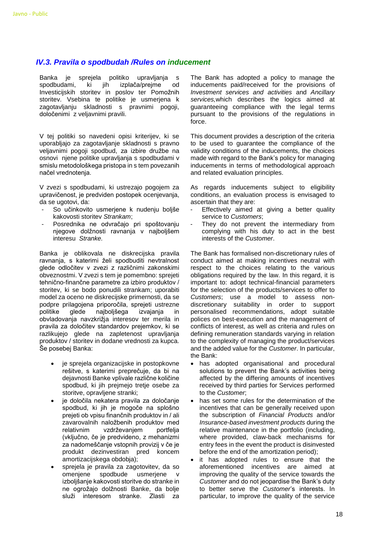### <span id="page-17-0"></span>*IV.3. Pravila o spodbudah /Rules on inducement*

Banka je sprejela politiko upravljanja s spodbudami, ki jih izplača/prejme od Investicijskih storitev in poslov ter Pomožnih storitev. Vsebina te politike je usmerjena k zagotavljanju skladnosti s pravnimi pogoji, določenimi z veljavnimi pravili.

V tej politiki so navedeni opisi kriterijev, ki se uporabljajo za zagotavljanje skladnosti s pravno veljavnimi pogoji spodbud, za izbire družbe na osnovi njene politike upravljanja s spodbudami v smislu metodološkega pristopa in s tem povezanih načel vrednotenja.

V zvezi s spodbudami, ki ustrezajo pogojem za upravičenost, je predviden postopek ocenjevanja, da se ugotovi, da:

- So učinkovito usmeriene k nudenju boljše kakovosti storitev *Strankam*;
- Posrednika ne odvračajo pri spoštovanju njegove dolžnosti ravnanja v najboljšem interesu *Stranke.*

Banka je oblikovala ne diskrecijska pravila ravnanja, s katerimi želi spodbuditi nevtralnost glede odločitev v zvezi z različnimi zakonskimi obveznostmi. V zvezi s tem je pomembno: sprejeti tehnično-finančne parametre za izbiro produktov / storitev, ki se bodo ponudili strankam; uporabiti model za oceno ne diskrecijske primernosti, da se podpre prilagojena priporočila, sprejeti ustrezne politike glede najboljšega izvajanja in obvladovanja navzkrižja interesov ter merila in pravila za določitev standardov prejemkov, ki se razlikujejo glede na zapletenost upravljanja produktov / storitev in dodane vrednosti za kupca. Še posebej Banka:

- je sprejela organizacijske in postopkovne rešitve, s katerimi preprečuje, da bi na dejavnosti Banke vplivale različne količine spodbud, ki jih prejmejo tretje osebe za storitve, opravljene stranki;
- je določila nekatera pravila za določanje spodbud, ki jih je mogoče na splošno prejeti ob vpisu finančnih produktov in / ali zavarovalnih naložbenih produktov med relativnim vzdrževanjem portfelja (vključno, če je predvideno, z mehanizmi za nadomeščanje vstopnih provizij v če je produkt dezinvestiran pred koncem amortizacijskega obdobja);
- sprejela je pravila za zagotovitev, da so omenjene spodbude usmerjene v izboljšanje kakovosti storitve do stranke in ne ogrožajo dolžnosti Banke, da bolje služi interesom stranke. Zlasti za

The Bank has adopted a policy to manage the inducements paid/received for the provisions of *Investment services and activities* and *Ancillary services,*which describes the logics aimed at guaranteeing compliance with the legal terms pursuant to the provisions of the regulations in force.

This document provides a description of the criteria to be used to guarantee the compliance of the validity conditions of the inducements, the choices made with regard to the Bank's policy for managing inducements in terms of methodological approach and related evaluation principles.

As regards inducements subject to eligibility conditions, an evaluation process is envisaged to ascertain that they are:

- Effectively aimed at giving a better quality service to *Customers*;
- They do not prevent the intermediary from complying with his duty to act in the best interests of the *Customer*.

The Bank has formalised non-discretionary rules of conduct aimed at making incentives neutral with respect to the choices relating to the various obligations required by the law. In this regard, it is important to: adopt technical-financial parameters for the selection of the products/services to offer to *Customers*; use a model to assess nondiscretionary suitability in order to support personalised recommendations, adopt suitable polices on best-execution and the management of conflicts of interest, as well as criteria and rules on defining remuneration standards varying in relation to the complexity of managing the product/services and the added value for the *Customer*. In particular, the Bank:

- has adopted organisational and procedural solutions to prevent the Bank's activities being affected by the differing amounts of incentives received by third parties for Services performed to the *Customer*;
- has set some rules for the determination of the incentives that can be generally received upon the subscription of *Financial Products* and/or *Insurance-based investment products* during the relative maintenance in the portfolio (including, where provided, claw-back mechanisms for entry fees in the event the product is disinvested before the end of the amortization period);
- it has adopted rules to ensure that the aforementioned incentives are aimed at improving the quality of the service towards the *Customer* and do not jeopardise the Bank's duty to better serve the *Customer*'s interests. In particular, to improve the quality of the service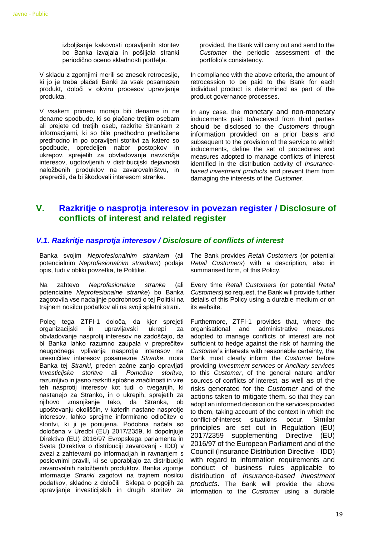izboljšanje kakovosti opravljenih storitev bo Banka izvajala in pošiljala stranki periodično oceno skladnosti portfelja.

V skladu z zgornjimi merili se znesek retrocesije, ki jo je treba plačati Banki za vsak posamezen produkt, določi v okviru procesov upravljanja produkta.

V vsakem primeru morajo biti denarne in ne denarne spodbude, ki so plačane tretjim osebam ali prejete od tretjih oseb, razkrite Strankam z informacijami, ki so bile predhodno predložene predhodno in po opravljeni storitvi za katero so spodbude, opredeljen nabor postopkov in ukrepov, sprejetih za obvladovanje navzkrižja interesov, ugotovljenih v distribucijski dejavnosti naložbenih produktov na zavarovalništvu, in preprečiti, da bi škodovali interesom stranke.

provided, the Bank will carry out and send to the *Customer* the periodic assessment of the portfolio's consistency.

In compliance with the above criteria, the amount of retrocession to be paid to the Bank for each individual product is determined as part of the product governance processes.

In any case, the monetary and non-monetary inducements paid to/received from third parties should be disclosed to the *Customers* through information provided on a prior basis and subsequent to the provision of the service to which inducements, define the set of procedures and measures adopted to manage conflicts of interest identified in the distribution activity of *Insurancebased investment products* and prevent them from damaging the interests of the *Customer*.

## <span id="page-18-0"></span>**V. Razkritje o nasprotja interesov in povezan register / Disclosure of conflicts of interest and related register**

#### <span id="page-18-1"></span>*V.1. Razkritje nasprotja interesov / Disclosure of conflicts of interest*

Banka svojim *Neprofesionalnim strankam* (ali potencialnim *Neprofesionalnim strankam*) podaja opis, tudi v obliki povzetka, te Politike.

Na zahtevo *Neprofesionalne stranke* (ali potencialne *Neprofesionalne stranke*) bo Banka zagotovila vse nadaljnje podrobnosti o tej Politiki na trajnem nosilcu podatkov ali na svoji spletni strani.

Poleg tega ZTFI-1 določa, da kjer sprejeti organizacijski in upravljavski ukrepi za obvladovanje nasprotij interesov ne zadoščajo, da bi Banka lahko razumno zaupala v preprečitev neugodnega vplivanja nasprotja interesov na uresničitev interesov posamezne *Stranke*, mora Banka tej *Stranki*, preden začne zanjo opravljati *Investicijske storitve* ali *Pomožne storitve*, razumljivo in jasno razkriti splošne značilnosti in vire teh nasprotij interesov kot tudi o tveganjih, ki nastanejo za Stranko, in o ukrepih, sprejetih za njihovo zmanjšanje tako, da Stranka, ob upoštevanju okoliščin, v katerih nastane nasprotje interesov, lahko sprejme informirano odločitev o storitvi, ki ji je ponujena. Podobna načela so določena v Uredbi (EU) 2017/2359, ki dopolnjuje Direktivo (EU) 2016/97 Evropskega parlamenta in Sveta (Direktiva o distribuciji zavarovanj - IDD) v zvezi z zahtevami po informacijah in ravnanjem s poslovnimi pravili, ki se uporabljajo za distribucijo zavarovalnih naložbenih produktov. Banka zgornje informacije *Stranki* zagotovi na trajnem nosilcu podatkov, skladno z določili Sklepa o pogojih za opravljanje investicijskih in drugih storitev za

The Bank provides *Retail Customers* (or potential *Retail Customers*) with a description, also in summarised form, of this Policy.

Every time *Retail Customers* (or potential *Retail Customers*) so request, the Bank will provide further details of this Policy using a durable medium or on its website.

Furthermore, ZTFI-1 provides that, where the organisational and administrative measures adopted to manage conflicts of interest are not sufficient to hedge against the risk of harming the *Customer*'s interests with reasonable certainty, the Bank must clearly inform the *Customer* before providing *Investment services* or *Ancillary services* to this *Customer*, of the general nature and/or sources of conflicts of interest, as well as of the risks generated for the *Customer* and of the actions taken to mitigate them, so that they can adopt an informed decision on the services provided to them, taking account of the context in which the conflict-of-interest situations occur. Similar principles are set out in Regulation (EU) 2017/2359 supplementing Directive (EU) 2016/97 of the European Parliament and of the Council (Insurance Distribution Directive - IDD) with regard to information requirements and conduct of business rules applicable to distribution of *Insurance-based investment products*. The Bank will provide the above information to the *Customer* using a durable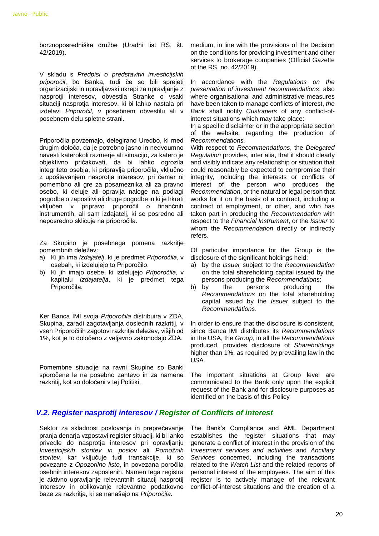borznoposredniške družbe (Uradni list RS, št. 42/2019).

V skladu s *Predpisi o predstavitvi investicijskih priporočil*, bo Banka, tudi če so bili sprejeti organizacijski in upravljavski ukrepi za upravljanje z nasprotji interesov, obvestila Stranke o vsaki situaciji nasprotia interesov, ki bi lahko nastala pri izdelavi *Priporočil*, v posebnem obvestilu ali v posebnem delu spletne strani.

Priporočila povzemajo, delegirano Uredbo, ki med drugim določa, da je potrebno jasno in nedvoumno navesti katerokoli razmerje ali situacijo, za katero je objektivno pričakovati, da bi lahko ogrozila integriteto osebja, ki pripravlja priporočila, vključno z upoštevanjem nasprotja interesov, pri čemer ni pomembno ali gre za posameznika ali za pravno osebo, ki deluje ali opravlja naloge na podlagi pogodbe o zaposlitvi ali druge pogodbe in ki je hkrati vključen v pripravo priporočil o finančnih instrumentih, ali sam izdajatelj, ki se posredno ali neposredno sklicuje na priporočila.

Za Skupino je posebnega pomena razkritje pomembnih deležev:

- a) Ki jih ima *Izdajatelj*, ki je predmet *Priporočila*, v osebah, ki izdelujejo to Priporočilo.
- b) Ki jih imajo osebe, ki izdelujejo *Priporočila*, v kapitalu *Izdajatelja*, ki je predmet tega Priporočila.

Ker Banca IMI svoja *Priporočila* distribuira v ZDA, Skupina, zaradi zagotavljanja doslednih razkritij, v vseh Priporočilih zagotovi razkritje deležev, višjih od 1%, kot je to določeno z veljavno zakonodajo ZDA.

Pomembne situacije na ravni Skupine so Banki sporočene le na posebno zahtevo in za namene razkritij, kot so določeni v tej Politiki.

medium, in line with the provisions of the Decision on the conditions for providing investment and other services to brokerage companies (Official Gazette of the RS, no. 42/2019).

In accordance with the *Regulations on the presentation of investment recommendations*, also where organisational and administrative measures have been taken to manage conflicts of interest, *the Bank* shall notify *Customers* of any conflict-ofinterest situations which may take place:

In a specific disclaimer or in the appropriate section of the website, regarding the production of *Recommendations.*

With respect to *Recommendations*, the *Delegated Regulation* provides, inter alia, that it should clearly and visibly indicate any relationship or situation that could reasonably be expected to compromise their integrity, including the interests or conflicts of interest of the person who produces the *Recommendation*, or the natural or legal person that works for it on the basis of a contract, including a contract of employment, or other, and who has taken part in producing the *Recommendation* with respect to the *Financial Instrument*, or the *Issuer* to whom the *Recommendation* directly or indirectly refers.

Of particular importance for the Group is the disclosure of the significant holdings held:

- a) by the *Issuer* subject to the *Recommendation* on the total shareholding capital issued by the persons producing the *Recommendations*;
- b) by the persons producing the *Recommendations* on the total shareholding capital issued by the *Issuer* subject to the *Recommendations*.

In order to ensure that the disclosure is consistent, since Banca IMI distributes its *Recommendations* in the USA, the *Group*, in all the *Recommendations*  produced, provides disclosure of *Shareholdings* higher than 1%, as required by prevailing law in the USA.

The important situations at Group level are communicated to the Bank only upon the explicit request of the Bank and for disclosure purposes as identified on the basis of this Policy

#### <span id="page-19-0"></span>*V.2. Register nasprotij interesov / Register of Conflicts of interest*

Sektor za skladnost poslovanja in preprečevanje pranja denarja vzpostavi register situacij, ki bi lahko privedle do nasprotja interesov pri opravljanju *Investicijskih storitev in poslov* ali *Pomožnih storitev*, kar vključuje tudi transakcije, ki so povezane z *Opozorilno listo*, in povezana poročila osebnih interesov zaposlenih. Namen tega registra je aktivno upravljanje relevantnih situacij nasprotij interesov in oblikovanje relevantne podatkovne baze za razkritja, ki se nanašajo na *Priporočila*.

The Bank's Compliance and AML Department establishes the register situations that may generate a conflict of interest in the provision of the *Investment services and activities* and *Ancillary Services* concerned, including the transactions related to the *Watch List* and the related reports of personal interest of the employees. The aim of this register is to actively manage of the relevant conflict-of-interest situations and the creation of a